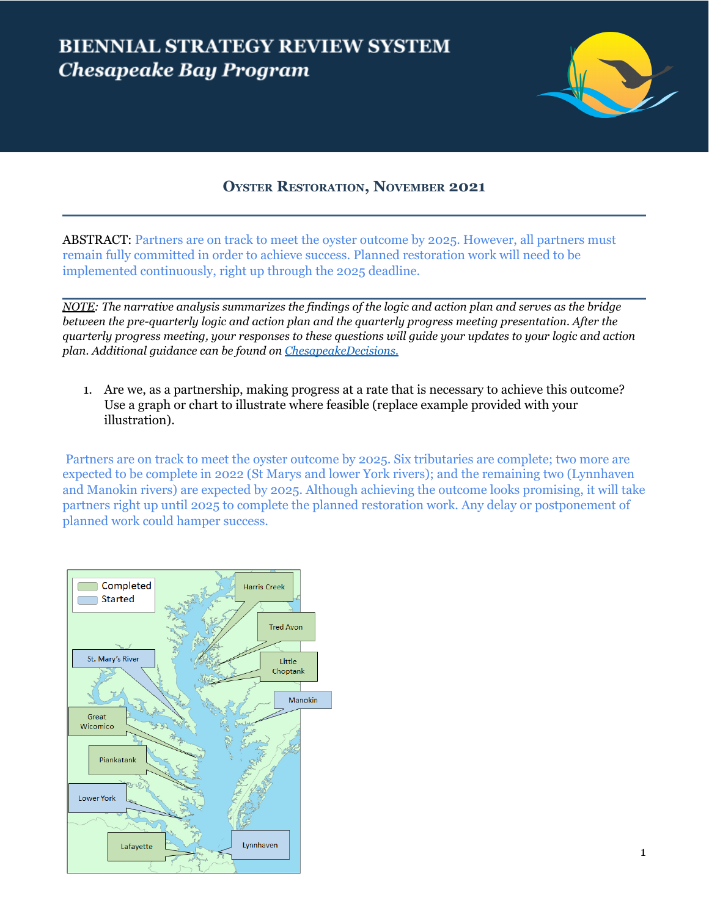## **BIENNIAL STRATEGY REVIEW SYSTEM Chesapeake Bay Program**



## **OYSTER RESTORATION, NOVEMBER 2021**

ABSTRACT: Partners are on track to meet the oyster outcome by 2025. However, all partners must remain fully committed in order to achieve success. Planned restoration work will need to be implemented continuously, right up through the 2025 deadline.

NOTE: The narrative analysis summarizes the findings of the logic and action plan and serves as the bridge *between the pre-quarterly logic and action plan and the quarterly progress meeting presentation. After the* quarterly progress meeting, your responses to these questions will guide your updates to your logic and action *plan. Additional guidance can be found on [ChesapeakeDecisions.](http://www.chesapeakebay.net/decisions/srs-guide)*

1. Are we, as a partnership, making progress at a rate that is necessary to achieve this outcome? Use a graph or chart to illustrate where feasible (replace example provided with your illustration).

Partners are on track to meet the oyster outcome by 2025. Six tributaries are complete; two more are expected to be complete in 2022 (St Marys and lower York rivers); and the remaining two (Lynnhaven and Manokin rivers) are expected by 2025. Although achieving the outcome looks promising, it will take partners right up until 2025 to complete the planned restoration work. Any delay or postponement of planned work could hamper success.

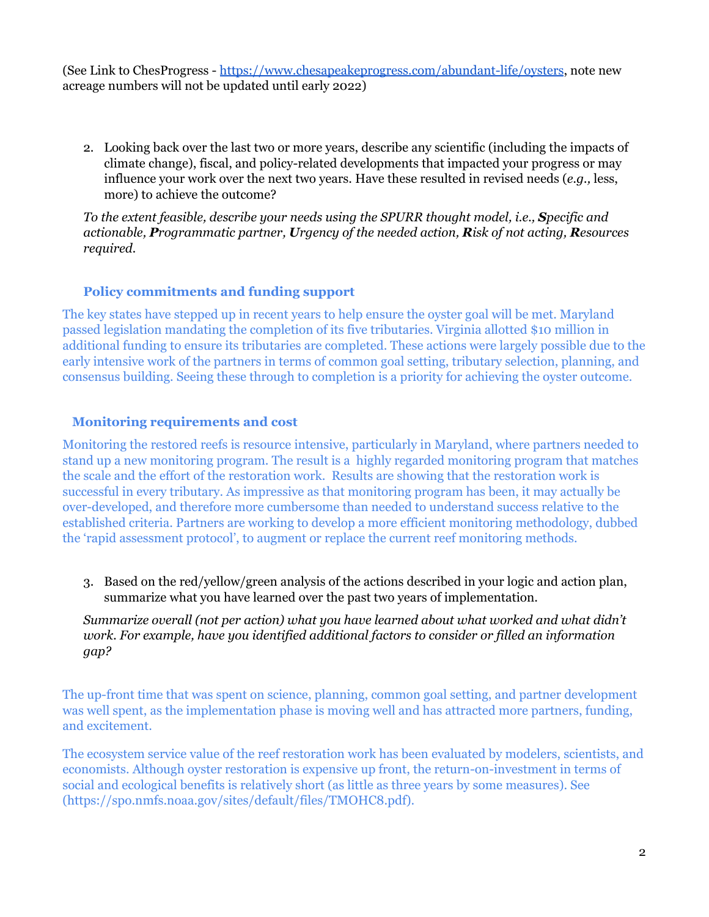(See Link to ChesProgress - <https://www.chesapeakeprogress.com/abundant-life/oysters>, note new acreage numbers will not be updated until early 2022)

2. Looking back over the last two or more years, describe any scientific (including the impacts of climate change), fiscal, and policy-related developments that impacted your progress or may influence your work over the next two years. Have these resulted in revised needs (*e.g.,* less, more) to achieve the outcome?

*To the extent feasible, describe your needs using the SPURR thought model, i.e., Specific and actionable, Programmatic partner, Urgency of the needed action, Risk of not acting, Resources required.*

## **Policy commitments and funding support**

The key states have stepped up in recent years to help ensure the oyster goal will be met. Maryland passed legislation mandating the completion of its five tributaries. Virginia allotted \$10 million in additional funding to ensure its tributaries are completed. These actions were largely possible due to the early intensive work of the partners in terms of common goal setting, tributary selection, planning, and consensus building. Seeing these through to completion is a priority for achieving the oyster outcome.

## **Monitoring requirements and cost**

Monitoring the restored reefs is resource intensive, particularly in Maryland, where partners needed to stand up a new monitoring program. The result is a highly regarded monitoring program that matches the scale and the effort of the restoration work. Results are showing that the restoration work is successful in every tributary. As impressive as that monitoring program has been, it may actually be over-developed, and therefore more cumbersome than needed to understand success relative to the established criteria. Partners are working to develop a more efficient monitoring methodology, dubbed the 'rapid assessment protocol', to augment or replace the current reef monitoring methods.

3. Based on the red/yellow/green analysis of the actions described in your logic and action plan, summarize what you have learned over the past two years of implementation.

*Summarize overall (not per action) what you have learned about what worked and what didn't work. For example, have you identified additional factors to consider or filled an information gap?*

The up-front time that was spent on science, planning, common goal setting, and partner development was well spent, as the implementation phase is moving well and has attracted more partners, funding, and excitement.

The ecosystem service value of the reef restoration work has been evaluated by modelers, scientists, and economists. Although oyster restoration is expensive up front, the return-on-investment in terms of social and ecological benefits is relatively short (as little as three years by some measures). See (https://spo.nmfs.noaa.gov/sites/default/files/TMOHC8.pdf).